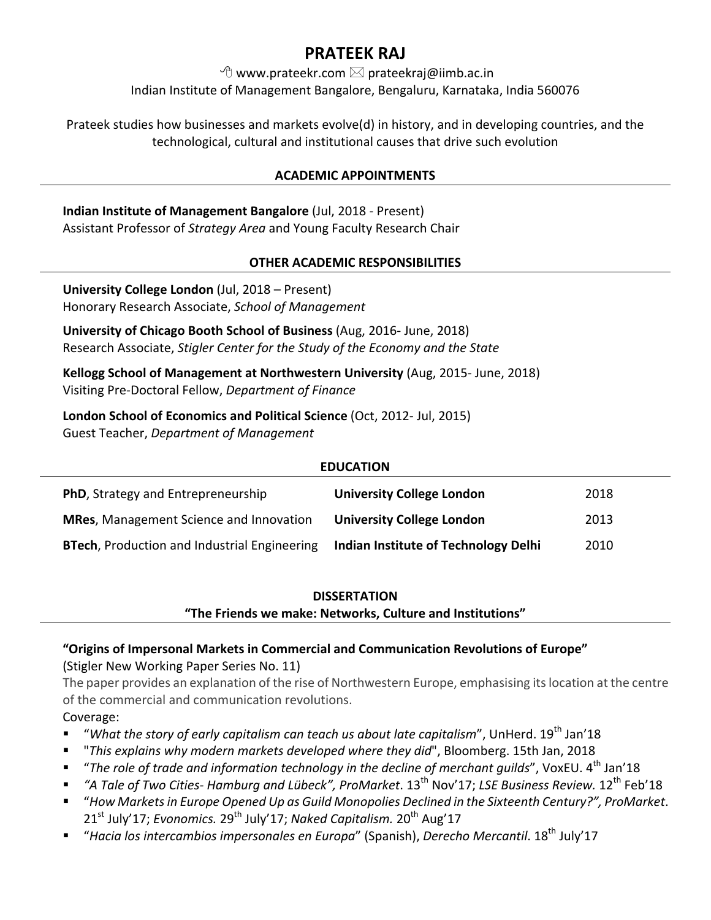# **PRATEEK RAJ**

 $\Theta$  www.prateekr.com  $\boxtimes$  prateekraj@iimb.ac.in

Indian Institute of Management Bangalore, Bengaluru, Karnataka, India 560076

Prateek studies how businesses and markets evolve(d) in history, and in developing countries, and the technological, cultural and institutional causes that drive such evolution

# **ACADEMIC APPOINTMENTS**

**Indian Institute of Management Bangalore** (Jul, 2018 - Present) Assistant Professor of *Strategy Area* and Young Faculty Research Chair

# **OTHER ACADEMIC RESPONSIBILITIES**

**University College London** (Jul, 2018 – Present) Honorary Research Associate, *School of Management*

**University of Chicago Booth School of Business** (Aug, 2016- June, 2018) Research Associate, *Stigler Center for the Study of the Economy and the State* 

**Kellogg School of Management at Northwestern University** (Aug, 2015- June, 2018) Visiting Pre-Doctoral Fellow, *Department of Finance*

**London School of Economics and Political Science (Oct, 2012- Jul, 2015)** Guest Teacher, *Department of Management* 

| <b>EDUCATION</b>                                    |                                      |      |
|-----------------------------------------------------|--------------------------------------|------|
| <b>PhD, Strategy and Entrepreneurship</b>           | <b>University College London</b>     | 2018 |
| <b>MRes, Management Science and Innovation</b>      | <b>University College London</b>     | 2013 |
| <b>BTech, Production and Industrial Engineering</b> | Indian Institute of Technology Delhi | 2010 |

# **DISSERTATION**

"The Friends we make: Networks, Culture and Institutions"

# "Origins of Impersonal Markets in Commercial and Communication Revolutions of Europe" (Stigler New Working Paper Series No. 11)

The paper provides an explanation of the rise of Northwestern Europe, emphasising its location at the centre of the commercial and communication revolutions.

# Coverage:

- *"What the story of early capitalism can teach us about late capitalism"*, UnHerd. 19<sup>th</sup> Jan'18
- § "*This explains why modern markets developed where they did*", Bloomberg. 15th Jan, 2018
- § "*The role of trade and information technology in the decline of merchant guilds*", VoxEU. 4th Jan'18
- § *"A Tale of Two Cities- Hamburg and Lübeck", ProMarket*. 13th Nov'17; *LSE Business Review.* 12th Feb'18
- § "*How Markets in Europe Opened Up as Guild Monopolies Declined in the Sixteenth Century?", ProMarket*. 21<sup>st</sup> July'17; *Evonomics.* 29<sup>th</sup> July'17; Naked Capitalism. 20<sup>th</sup> Aug'17
- § "*Hacia los intercambios impersonales en Europa*" (Spanish), *Derecho Mercantil*. 18th July'17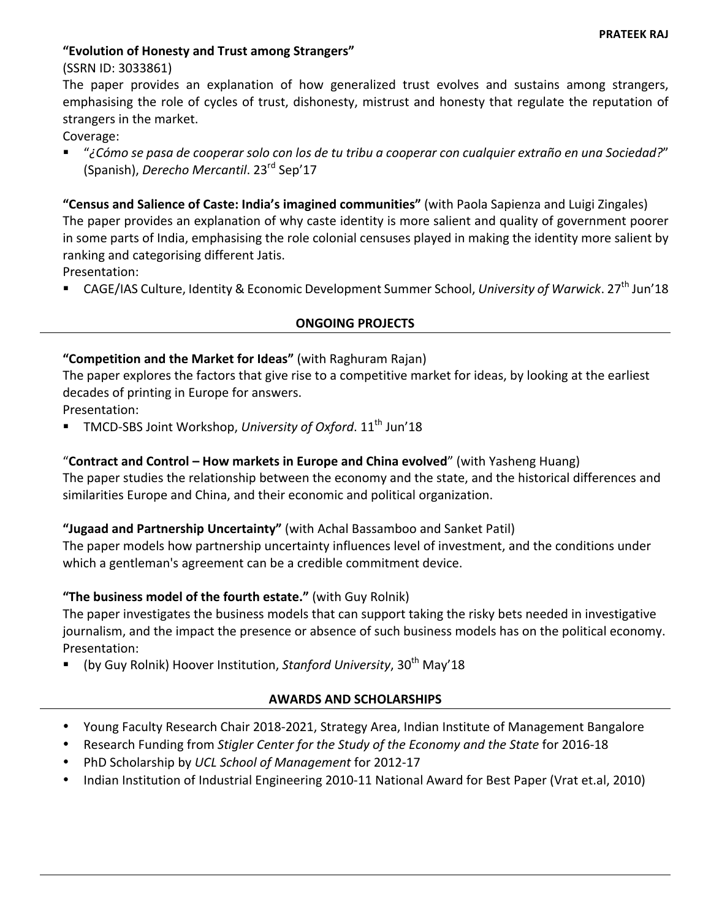# **"Evolution of Honesty and Trust among Strangers"**

(SSRN ID: 3033861)

The paper provides an explanation of how generalized trust evolves and sustains among strangers, emphasising the role of cycles of trust, dishonesty, mistrust and honesty that regulate the reputation of strangers in the market.

Coverage:

§ "*¿Cómo se pasa de cooperar solo con los de tu tribu a cooperar con cualquier extraño en una Sociedad?*" (Spanish), *Derecho Mercantil*. 23<sup>rd</sup> Sep'17

"Census and Salience of Caste: India's imagined communities" (with Paola Sapienza and Luigi Zingales) The paper provides an explanation of why caste identity is more salient and quality of government poorer in some parts of India, emphasising the role colonial censuses played in making the identity more salient by ranking and categorising different Jatis.

Presentation:

■ CAGE/IAS Culture, Identity & Economic Development Summer School, *University of Warwick*. 27<sup>th</sup> Jun'18

#### **ONGOING PROJECTS**

#### "Competition and the Market for Ideas" (with Raghuram Rajan)

The paper explores the factors that give rise to a competitive market for ideas, by looking at the earliest decades of printing in Europe for answers.

Presentation:

TMCD-SBS Joint Workshop, University of Oxford. 11<sup>th</sup> Jun'18

# "Contract and Control – How markets in Europe and China evolved" (with Yasheng Huang)

The paper studies the relationship between the economy and the state, and the historical differences and similarities Europe and China, and their economic and political organization.

# "Jugaad and Partnership Uncertainty" (with Achal Bassamboo and Sanket Patil)

The paper models how partnership uncertainty influences level of investment, and the conditions under which a gentleman's agreement can be a credible commitment device.

# **"The business model of the fourth estate."** (with Guy Rolnik)

The paper investigates the business models that can support taking the risky bets needed in investigative journalism, and the impact the presence or absence of such business models has on the political economy. Presentation:

(by Guy Rolnik) Hoover Institution, Stanford University, 30<sup>th</sup> May'18

# **AWARDS AND SCHOLARSHIPS**

- Young Faculty Research Chair 2018-2021, Strategy Area, Indian Institute of Management Bangalore
- Research Funding from *Stigler Center for the Study of the Economy and the State* for 2016-18
- PhD Scholarship by *UCL School of Management* for 2012-17
- Indian Institution of Industrial Engineering 2010-11 National Award for Best Paper (Vrat et.al, 2010)